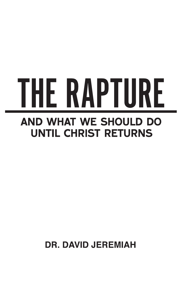# **THE RAPTURE**

## **AND WHAT WE SHOULD DO UNTIL CHRIST RETURNS**

**DR. DAVID JEREMIAH**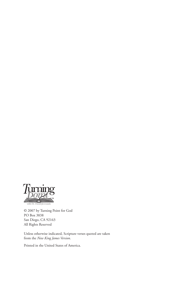

© 2007 by Turning Point for God PO Box 3838 San Diego, CA 92163 All Rights Reserved

Unless otherwise indicated, Scripture verses quoted are taken from the *New King James Version*.

Printed in the United States of America.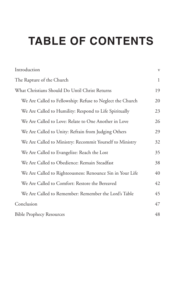## **Table of Contents**

| Introduction                                              | $\mathbf{V}$ |
|-----------------------------------------------------------|--------------|
| The Rapture of the Church                                 | $\mathbf{1}$ |
| What Christians Should Do Until Christ Returns            | 19           |
| We Are Called to Fellowship: Refuse to Neglect the Church | 20           |
| We Are Called to Humility: Respond to Life Spiritually    | 23           |
| We Are Called to Love: Relate to One Another in Love      | 26           |
| We Are Called to Unity: Refrain from Judging Others       | 29           |
| We Are Called to Ministry: Recommit Yourself to Ministry  | 32           |
| We Are Called to Evangelize: Reach the Lost               | 35           |
| We Are Called to Obedience: Remain Steadfast              | 38           |
| We Are Called to Righteousness: Renounce Sin in Your Life | 40           |
| We Are Called to Comfort: Restore the Bereaved            | 42           |
| We Are Called to Remember: Remember the Lord's Table      | 45           |
| Conclusion                                                | 47           |
| <b>Bible Prophecy Resources</b>                           | 48           |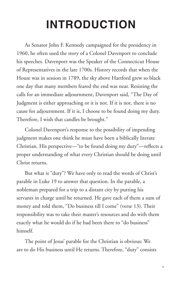# **Introduction**

As Senator John F. Kennedy campaigned for the presidency in 1960, he often used the story of a Colonel Davenport to conclude his speeches. Davenport was the Speaker of the Connecticut House of Representatives in the late 1700s. History records that when the House was in session in 1789, the sky above Hartford grew so black one day that many members feared the end was near. Resisting the calls for an immediate adjournment, Davenport said, "The Day of Judgment is either approaching or it is not. If it is not, there is no cause for adjournment. If it is, I choose to be found doing my duty. Therefore, I wish that candles be brought."

Colonel Davenport's response to the possibility of impending judgment makes one think he must have been a biblically literate Christian. His perspective—"to be found doing my duty"—reflects a proper understanding of what every Christian should be doing until Christ returns.

But what is "duty"? We have only to read the words of Christ's parable in Luke 19 to answer that question. In the parable, a nobleman prepared for a trip to a distant city by putting his servants in charge until he returned. He gave each of them a sum of money and told them, "Do business till I come" (verse 13). Their responsibility was to take their master's resources and do with them exactly what he would do if he had been there to "do business" himself.

The point of Jesus' parable for the Christian is obvious: We are to do His business until He returns. Therefore, "duty" consists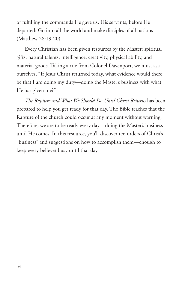of fulfilling the commands He gave us, His servants, before He departed: Go into all the world and make disciples of all nations (Matthew 28:19-20).

Every Christian has been given resources by the Master: spiritual gifts, natural talents, intelligence, creativity, physical ability, and material goods. Taking a cue from Colonel Davenport, we must ask ourselves, "If Jesus Christ returned today, what evidence would there be that I am doing my duty—doing the Master's business with what He has given me?"

*The Rapture and What We Should Do Until Christ Returns* has been prepared to help you get ready for that day. The Bible teaches that the Rapture of the church could occur at any moment without warning. Therefore, we are to be ready every day—doing the Master's business until He comes. In this resource, you'll discover ten orders of Christ's "business" and suggestions on how to accomplish them—enough to keep every believer busy until that day.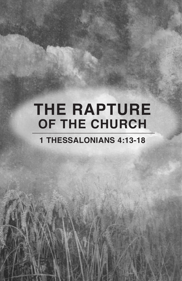# **The Rapture of the Church**

### **1 Thessalonians 4:13-18**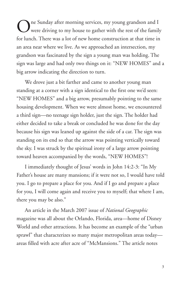One Sunday after morning services, my young grandson and I were driving to my house to gather with the rest of the family for lunch. There was a lot of new home construction at that time in an area near where we live. As we approached an intersection, my grandson was fascinated by the sign a young man was holding. The sign was large and had only two things on it: "NEW HOMES" and a big arrow indicating the direction to turn.

We drove just a bit farther and came to another young man standing at a corner with a sign identical to the first one we'd seen: "NEW HOMES" and a big arrow, presumably pointing to the same housing development. When we were almost home, we encountered a third sign—no teenage sign holder, just the sign. The holder had either decided to take a break or concluded he was done for the day because his sign was leaned up against the side of a car. The sign was standing on its end so that the arrow was pointing vertically toward the sky. I was struck by the spiritual irony of a large arrow pointing toward heaven accompanied by the words, "NEW HOMES"!

I immediately thought of Jesus' words in John 14:2-3: "In My Father's house are many mansions; if it were not so, I would have told you. I go to prepare a place for you. And if I go and prepare a place for you, I will come again and receive you to myself; that where I am, there you may be also."

An article in the March 2007 issue of *National Geographic* magazine was all about the Orlando, Florida, area—home of Disney World and other attractions. It has become an example of the "urban sprawl" that characterizes so many major metropolitan areas today areas filled with acre after acre of "McMansions." The article notes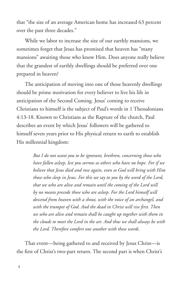that "the size of an average American home has increased 63 percent over the past three decades."

While we labor to increase the size of our earthly mansions, we sometimes forget that Jesus has promised that heaven has "many mansions" awaiting those who know Him. Does anyone really believe that the grandest of earthly dwellings should be preferred over one prepared in heaven?

The anticipation of moving into one of those heavenly dwellings should be prime motivation for every believer to live his life in anticipation of the Second Coming. Jesus' coming to receive Christians to himself is the subject of Paul's words in 1 Thessalonians 4:13-18. Known to Christians as the Rapture of the church, Paul describes an event by which Jesus' followers will be gathered to himself seven years prior to His physical return to earth to establish His millennial kingdom:

> *But I do not want you to be ignorant, brethren, concerning those who have fallen asleep, lest you sorrow as others who have no hope. For if we believe that Jesus died and rose again, even so God will bring with Him those who sleep in Jesus. For this we say to you by the word of the Lord, that we who are alive and remain until the coming of the Lord will by no means precede those who are asleep. For the Lord himself will descend from heaven with a shout, with the voice of an archangel, and with the trumpet of God. And the dead in Christ will rise first. Then we who are alive and remain shall be caught up together with them in the clouds to meet the Lord in the air. And thus we shall always be with the Lord. Therefore comfort one another with these words.*

That event—being gathered to and received by Jesus Christ—is the first of Christ's two-part return. The second part is when Christ's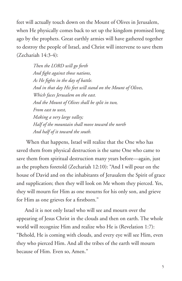feet will actually touch down on the Mount of Olives in Jerusalem, when He physically comes back to set up the kingdom promised long ago by the prophets. Great earthly armies will have gathered together to destroy the people of Israel, and Christ will intervene to save them (Zechariah 14:3-4):

> *Then the LORD will go forth And fight against those nations, As He fights in the day of battle. And in that day His feet will stand on the Mount of Olives, Which faces Jerusalem on the east. And the Mount of Olives shall be split in two, From east to west, Making a very large valley; Half of the mountain shall move toward the north And half of it toward the south.*

 When that happens, Israel will realize that the One who has saved them from physical destruction is the same One who came to save them from spiritual destruction many years before—again, just as the prophets foretold (Zechariah 12:10): "And I will pour on the house of David and on the inhabitants of Jerusalem the Spirit of grace and supplication; then they will look on Me whom they pierced. Yes, they will mourn for Him as one mourns for his only son, and grieve for Him as one grieves for a firstborn."

And it is not only Israel who will see and mourn over the appearing of Jesus Christ in the clouds and then on earth. The whole world will recognize Him and realize who He is (Revelation 1:7): "Behold, He is coming with clouds, and every eye will see Him, even they who pierced Him. And all the tribes of the earth will mourn because of Him. Even so, Amen."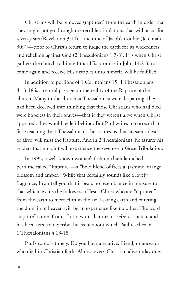Christians will be removed (raptured) from the earth in order that they might not go through the terrible tribulations that will occur for seven years (Revelation 3:10)—the time of Jacob's trouble (Jeremiah 30:7)—prior to Christ's return to judge the earth for its wickedness and rebellion against God (2 Thessalonians 1:7-8). It is when Christ gathers the church to himself that His promise in John 14:2-3, to come again and receive His disciples unto himself, will be fulfilled.

In addition to portions of 1 Corinthians 15, 1 Thessalonians 4:13-18 is a central passage on the reality of the Rapture of the church. Many in the church at Thessalonica were despairing; they had been deceived into thinking that those Christians who had died were hopeless in their graves—that if they weren't alive when Christ appeared, they would be left behind. But Paul writes to correct that false teaching. In 1 Thessalonians, he assures us that no saint, dead or alive, will miss the Rapture. And in 2 Thessalonians, he assures his readers that no saint will experience the seven-year Great Tribulation.

In 1992, a well-known women's fashion chain launched a perfume called "Rapture"—a "bold blend of freesia, jasmine, orange blossom and amber." While that certainly sounds like a lovely fragrance, I can tell you that it bears no resemblance in pleasure to that which awaits the followers of Jesus Christ who are "raptured" from the earth to meet Him in the air. Leaving earth and entering the domain of heaven will be an experience like no other. The word "rapture" comes from a Latin word that means seize or snatch, and has been used to describe the event about which Paul teaches in 1 Thessalonians 4:13-18.

Paul's topic is timely. Do you have a relative, friend, or ancestor who died in Christian faith? Almost every Christian alive today does.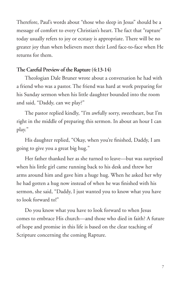Therefore, Paul's words about "those who sleep in Jesus" should be a message of comfort to every Christian's heart. The fact that "rapture" today usually refers to joy or ecstasy is appropriate. There will be no greater joy than when believers meet their Lord face-to-face when He returns for them.

#### **The Careful Preview of the Rapture (4:13-14)**

Theologian Dale Bruner wrote about a conversation he had with a friend who was a pastor. The friend was hard at work preparing for his Sunday sermon when his little daughter bounded into the room and said, "Daddy, can we play?"

The pastor replied kindly, "I'm awfully sorry, sweetheart, but I'm right in the middle of preparing this sermon. In about an hour I can play."

His daughter replied, "Okay, when you're finished, Daddy, I am going to give you a great big hug."

Her father thanked her as she turned to leave—but was surprised when his little girl came running back to his desk and threw her arms around him and gave him a huge hug. When he asked her why he had gotten a hug now instead of when he was finished with his sermon, she said, "Daddy, I just wanted you to know what you have to look forward to!"

Do you know what you have to look forward to when Jesus comes to embrace His church—and those who died in faith? A future of hope and promise in this life is based on the clear teaching of Scripture concerning the coming Rapture.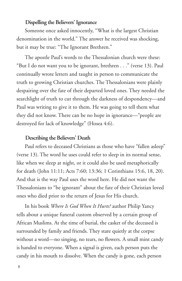#### **Dispelling the Believers' Ignorance**

Someone once asked innocently, "What is the largest Christian denomination in the world." The answer he received was shocking, but it may be true: "The Ignorant Brethren."

The apostle Paul's words to the Thessalonian church were these: "But I do not want you to be ignorant, brethren . . ." (verse 13). Paul continually wrote letters and taught in person to communicate the truth to growing Christian churches. The Thessalonians were plainly despairing over the fate of their departed loved ones. They needed the searchlight of truth to cut through the darkness of despondency—and Paul was writing to give it to them. He was going to tell them what they did not know. There can be no hope in ignorance—"people are destroyed for lack of knowledge" (Hosea 4:6).

#### **Describing the Believers' Death**

Paul refers to deceased Christians as those who have "fallen asleep" (verse 13). The word he uses could refer to sleep in its normal sense, like when we sleep at night, or it could also be used metaphorically for death (John 11:11; Acts 7:60; 13:36; 1 Corinthians 15:6, 18, 20). And that is the way Paul uses the word here. He did not want the Thessalonians to "be ignorant" about the fate of their Christian loved ones who died prior to the return of Jesus for His church.

In his book *Where Is God When It Hurts?* author Philip Yancy tells about a unique funeral custom observed by a certain group of African Muslims. At the time of burial, the casket of the deceased is surrounded by family and friends. They stare quietly at the corpse without a word—no singing, no tears, no flowers. A small mint candy is handed to everyone. When a signal is given, each person puts the candy in his mouth to dissolve. When the candy is gone, each person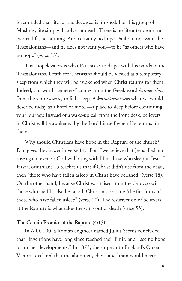is reminded that life for the deceased is finished. For this group of Muslims, life simply dissolves at death. There is no life after death, no eternal life, no nothing. And certainly no hope. Paul did not want the Thessalonians—and he does not want you—to be "as others who have no hope" (verse 13).

That hopelessness is what Paul seeks to dispel with his words to the Thessalonians. Death for Christians should be viewed as a temporary sleep from which they will be awakened when Christ returns for them. Indeed, our word "cemetery" comes from the Greek word *koimeterion,* from the verb *koimao,* to fall asleep. A *koimeterion* was what we would describe today as a hotel or motel—a place to sleep before continuing your journey. Instead of a wake-up call from the front desk, believers in Christ will be awakened by the Lord himself when He returns for them.

Why should Christians have hope in the Rapture of the church? Paul gives the answer in verse 14: "For if we believe that Jesus died and rose again, even so God will bring with Him those who sleep in Jesus." First Corinthians 15 teaches us that if Christ didn't rise from the dead, then "those who have fallen asleep in Christ have perished" (verse 18). On the other hand, because Christ was raised from the dead, so will those who are His also be raised. Christ has become "the firstfruits of those who have fallen asleep" (verse 20). The resurrection of believers at the Rapture is what takes the sting out of death (verse 55).

#### **The Certain Promise of the Rapture (4:15)**

In A.D. 100, a Roman engineer named Julius Sextus concluded that "inventions have long since reached their limit, and I see no hope of further developments." In 1873, the surgeon to England's Queen Victoria declared that the abdomen, chest, and brain would never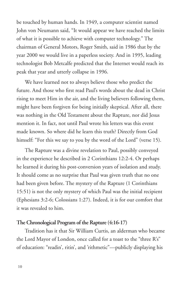be touched by human hands. In 1949, a computer scientist named John von Neumann said, "It would appear we have reached the limits of what it is possible to achieve with computer technology." The chairman of General Motors, Roger Smith, said in 1986 that by the year 2000 we would live in a paperless society. And in 1995, leading technologist Bob Metcalfe predicted that the Internet would reach its peak that year and utterly collapse in 1996.

We have learned not to always believe those who predict the future. And those who first read Paul's words about the dead in Christ rising to meet Him in the air, and the living believers following them, might have been forgiven for being initially skeptical. After all, there was nothing in the Old Testament about the Rapture, nor did Jesus mention it. In fact, not until Paul wrote his letters was this event made known. So where did he learn this truth? Directly from God himself: "For this we say to you by the word of the Lord" (verse 15).

The Rapture was a divine revelation to Paul, possibly conveyed in the experience he described in 2 Corinthians 12:2-4. Or perhaps he learned it during his post-conversion years of isolation and study. It should come as no surprise that Paul was given truth that no one had been given before. The mystery of the Rapture (1 Corinthians 15:51) is not the only mystery of which Paul was the initial recipient (Ephesians 3:2-6; Colossians 1:27). Indeed, it is for our comfort that it was revealed to him.

#### **The Chronological Program of the Rapture (4:16-17)**

Tradition has it that Sir William Curtis, an alderman who became the Lord Mayor of London, once called for a toast to the "three R's" of education: "readin', ritin', and 'rithmetic"—publicly displaying his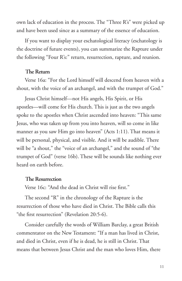own lack of education in the process. The "Three R's" were picked up and have been used since as a summary of the essence of education.

If you want to display your eschatological literacy (eschatology is the doctrine of future events), you can summarize the Rapture under the following "Four R's:" return, resurrection, rapture, and reunion.

#### **The Return**

Verse 16a: "For the Lord himself will descend from heaven with a shout, with the voice of an archangel, and with the trumpet of God."

Jesus Christ himself—not His angels, His Spirit, or His apostles—will come for His church. This is just as the two angels spoke to the apostles when Christ ascended into heaven: "This same Jesus, who was taken up from you into heaven, will so come in like manner as you saw Him go into heaven" (Acts 1:11). That means it will be personal, physical, and visible. And it will be audible. There will be "a shout," the "voice of an archangel," and the sound of "the trumpet of God" (verse 16b). These will be sounds like nothing ever heard on earth before.

#### **The Resurrection**

Verse 16c: "And the dead in Christ will rise first."

The second "R" in the chronology of the Rapture is the resurrection of those who have died in Christ. The Bible calls this "the first resurrection" (Revelation 20:5-6).

Consider carefully the words of William Barclay, a great British commentator on the New Testament: "If a man has lived in Christ, and died in Christ, even if he is dead, he is still in Christ. That means that between Jesus Christ and the man who loves Him, there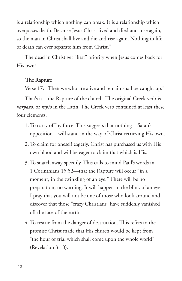is a relationship which nothing can break. It is a relationship which overpasses death. Because Jesus Christ lived and died and rose again, so the man in Christ shall live and die and rise again. Nothing in life or death can ever separate him from Christ."

The dead in Christ get "first" priority when Jesus comes back for His own!

#### **The Rapture**

Verse 17: "Then we who are alive and remain shall be caught up."

That's it—the Rapture of the church. The original Greek verb is *harpazo*, or *rapio* in the Latin. The Greek verb contained at least these four elements.

- 1. To carry off by force. This suggests that nothing—Satan's opposition—will stand in the way of Christ retrieving His own.
- 2. To claim for oneself eagerly. Christ has purchased us with His own blood and will be eager to claim that which is His.
- 3. To snatch away speedily. This calls to mind Paul's words in 1 Corinthians 15:52—that the Rapture will occur "in a moment, in the twinkling of an eye." There will be no preparation, no warning. It will happen in the blink of an eye. I pray that you will not be one of those who look around and discover that those "crazy Christians" have suddenly vanished off the face of the earth.
- 4. To rescue from the danger of destruction. This refers to the promise Christ made that His church would be kept from "the hour of trial which shall come upon the whole world" (Revelation 3:10).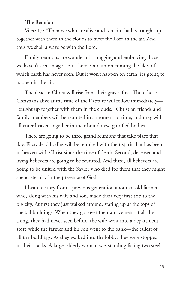#### **The Reunion**

Verse 17: "Then we who are alive and remain shall be caught up together with them in the clouds to meet the Lord in the air. And thus we shall always be with the Lord."

Family reunions are wonderful—hugging and embracing those we haven't seen in ages. But there is a reunion coming the likes of which earth has never seen. But it won't happen on earth; it's going to happen in the air.

The dead in Christ will rise from their graves first. Then those Christians alive at the time of the Rapture will follow immediately— "caught up together with them in the clouds." Christian friends and family members will be reunited in a moment of time, and they will all enter heaven together in their brand new, glorified bodies.

There are going to be three grand reunions that take place that day. First, dead bodies will be reunited with their spirit that has been in heaven with Christ since the time of death. Second, deceased and living believers are going to be reunited. And third, all believers are going to be united with the Savior who died for them that they might spend eternity in the presence of God.

I heard a story from a previous generation about an old farmer who, along with his wife and son, made their very first trip to the big city. At first they just walked around, staring up at the tops of the tall buildings. When they got over their amazement at all the things they had never seen before, the wife went into a department store while the farmer and his son went to the bank—the tallest of all the buildings. As they walked into the lobby, they were stopped in their tracks. A large, elderly woman was standing facing two steel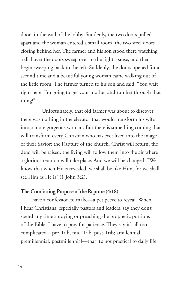doors in the wall of the lobby. Suddenly, the two doors pulled apart and the woman entered a small room, the two steel doors closing behind her. The farmer and his son stood there watching a dial over the doors sweep over to the right, pause, and then begin sweeping back to the left. Suddenly, the doors opened for a second time and a beautiful young woman came walking out of the little room. The farmer turned to his son and said, "You wait right here. I'm going to get your mother and run her through that thing!"

Unfortunately, that old farmer was about to discover there was nothing in the elevator that would transform his wife into a more gorgeous woman. But there is something coming that will transform every Christian who has ever lived into the image of their Savior: the Rapture of the church. Christ will return, the dead will be raised, the living will follow them into the air where a glorious reunion will take place. And we will be changed: "We know that when He is revealed, we shall be like Him, for we shall see Him as He is" (1 John 3:2).

#### **The Comforting Purpose of the Rapture (4:18)**

I have a confession to make—a pet peeve to reveal. When I hear Christians, especially pastors and leaders, say they don't spend any time studying or preaching the prophetic portions of the Bible, I have to pray for patience. They say it's all too complicated—pre-Trib, mid-Trib, post-Trib; amillennial, premillennial, postmillennial—that it's not practical to daily life.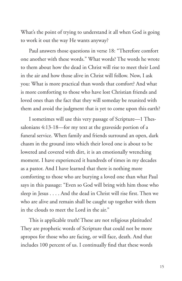What's the point of trying to understand it all when God is going to work it out the way He wants anyway?

Paul answers those questions in verse 18: "Therefore comfort one another with these words." What words? The words he wrote to them about how the dead in Christ will rise to meet their Lord in the air and how those alive in Christ will follow. Now, I ask you: What is more practical than words that comfort? And what is more comforting to those who have lost Christian friends and loved ones than the fact that they will someday be reunited with them and avoid the judgment that is yet to come upon this earth?

I sometimes will use this very passage of Scripture—1 Thessalonians 4:13-18—for my text at the graveside portion of a funeral service. When family and friends surround an open, dark chasm in the ground into which their loved one is about to be lowered and covered with dirt, it is an emotionally wrenching moment. I have experienced it hundreds of times in my decades as a pastor. And I have learned that there is nothing more comforting to those who are burying a loved one than what Paul says in this passage: "Even so God will bring with him those who sleep in Jesus . . . . And the dead in Christ will rise first. Then we who are alive and remain shall be caught up together with them in the clouds to meet the Lord in the air."

This is applicable truth! These are not religious platitudes! They are prophetic words of Scripture that could not be more apropos for those who are facing, or will face, death. And that includes 100 percent of us. I continually find that these words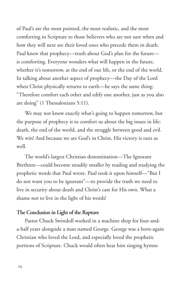of Paul's are the most pointed, the most realistic, and the most comforting in Scripture to those believers who are not sure when and how they will next see their loved ones who precede them in death. Paul knew that prophecy—truth about God's plan for the future is comforting. Everyone wonders what will happen in the future, whether it's tomorrow, at the end of our life, or the end of the world. In talking about another aspect of prophecy—the Day of the Lord when Christ physically returns to earth—he says the same thing: "Therefore comfort each other and edify one another, just as you also are doing" (1 Thessalonians 5:11).

We may not know exactly what's going to happen tomorrow, but the purpose of prophecy is to comfort us about the big issues in life: death, the end of the world, and the struggle between good and evil. We win! And because we are God's in Christ, His victory is ours as well.

The world's largest Christian denomination—The Ignorant Brethren—could become steadily smaller by reading and studying the prophetic words that Paul wrote. Paul took it upon himself—"But I do not want you to be ignorant"—to provide the truth we need to live in security about death and Christ's care for His own. What a shame not to live in the light of his words!

#### **The Conclusion in Light of the Rapture**

Pastor Chuck Swindoll worked in a machine shop for four-anda-half years alongside a man named George. George was a born-again Christian who loved the Lord, and especially loved the prophetic portions of Scripture. Chuck would often hear him singing hymns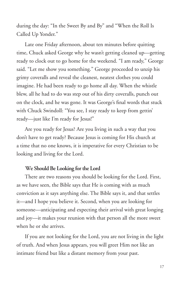during the day: "In the Sweet By and By" and "When the Roll Is Called Up Yonder."

Late one Friday afternoon, about ten minutes before quitting time, Chuck asked George why he wasn't getting cleaned up—getting ready to clock out to go home for the weekend. "I am ready," George said. "Let me show you something." George proceeded to unzip his grimy coveralls and reveal the cleanest, neatest clothes you could imagine. He had been ready to go home all day. When the whistle blew, all he had to do was step out of his dirty coveralls, punch out on the clock, and he was gone. It was George's final words that stuck with Chuck Swindoll: "You see, I stay ready to keep from gettin' ready—just like I'm ready for Jesus!"

Are you ready for Jesus? Are you living in such a way that you don't have to get ready? Because Jesus is coming for His church at a time that no one knows, it is imperative for every Christian to be looking and living for the Lord.

#### **We Should Be Looking for the Lord**

There are two reasons you should be looking for the Lord. First, as we have seen, the Bible says that He is coming with as much conviction as it says anything else. The Bible says it, and that settles it—and I hope you believe it. Second, when you are looking for someone—anticipating and expecting their arrival with great longing and joy—it makes your reunion with that person all the more sweet when he or she arrives.

If you are not looking for the Lord, you are not living in the light of truth. And when Jesus appears, you will greet Him not like an intimate friend but like a distant memory from your past.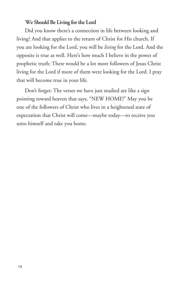#### **We Should Be Living for the Lord**

Did you know there's a connection in life between looking and living? And that applies to the return of Christ for His church. If you are looking for the Lord, you will be *living* for the Lord. And the opposite is true as well. Here's how much I believe in the power of prophetic truth: There would be a lot more followers of Jesus Christ living for the Lord if more of them were looking for the Lord. I pray that will become true in your life.

Don't forget: The verses we have just studied are like a sign pointing toward heaven that says, "NEW HOME!" May you be one of the followers of Christ who lives in a heightened state of expectation that Christ will come—maybe today—to receive you unto himself and take you home.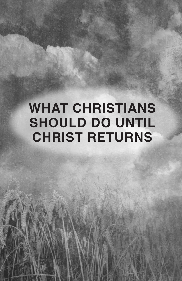# **WHAT CHRISTIANS SHOULD DO UNTIL CHRIST RETURNS**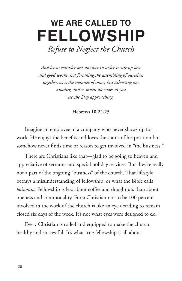## **we are called to Fellowship** *Refuse to Neglect the Church*

*And let us consider one another in order to stir up love and good works, not forsaking the assembling of ourselves together, as is the manner of some, but exhorting one another, and so much the more as you see the Day approaching.*

**Hebrews 10:24-25**

Imagine an employee of a company who never shows up for work. He enjoys the benefits and loves the status of his position but somehow never finds time or reason to get involved in "the business."

There are Christians like that—glad to be going to heaven and appreciative of sermons and special holiday services. But they're really not a part of the ongoing "business" of the church. That lifestyle betrays a misunderstanding of fellowship, or what the Bible calls *koinonia*. Fellowship is less about coffee and doughnuts than about oneness and commonality. For a Christian not to be 100 percent involved in the work of the church is like an eye deciding to remain closed six days of the week. It's not what eyes were designed to do.

Every Christian is called and equipped to make the church healthy and successful. It's what true fellowship is all about.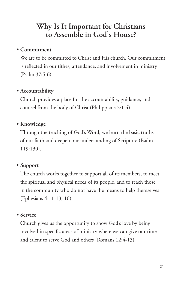#### **Why Is It Important for Christians to Assemble in God's House?**

#### **• Commitment**

We are to be committed to Christ and His church. Our commitment is reflected in our tithes, attendance, and involvement in ministry (Psalm 37:5-6).

#### **• Accountability**

Church provides a place for the accountability, guidance, and counsel from the body of Christ (Philippians 2:1-4).

#### **• Knowledge**

Through the teaching of God's Word, we learn the basic truths of our faith and deepen our understanding of Scripture (Psalm 119:130).

#### **• Support**

The church works together to support all of its members, to meet the spiritual and physical needs of its people, and to reach those in the community who do not have the means to help themselves (Ephesians 4:11-13, 16).

#### **• Service**

Church gives us the opportunity to show God's love by being involved in specific areas of ministry where we can give our time and talent to serve God and others (Romans 12:4-13).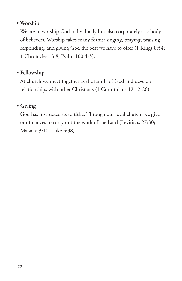#### **• Worship**

We are to worship God individually but also corporately as a body of believers. Worship takes many forms: singing, praying, praising, responding, and giving God the best we have to offer (1 Kings 8:54; 1 Chronicles 13:8; Psalm 100:4-5).

#### **• Fellowship**

At church we meet together as the family of God and develop relationships with other Christians (1 Corinthians 12:12-26).

#### **• Giving**

God has instructed us to tithe. Through our local church, we give our finances to carry out the work of the Lord (Leviticus 27:30; Malachi 3:10; Luke 6:38).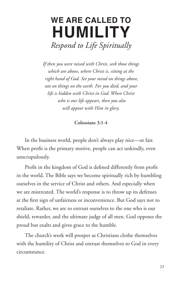## **we are called to Humility** *Respond to Life Spiritually*

*If then you were raised with Christ, seek those things which are above, where Christ is, sitting at the right hand of God. Set your mind on things above, not on things on the earth. For you died, and your life is hidden with Christ in God. When Christ who is our life appears, then you also will appear with Him in glory.*

#### **Colossians 3:1-4**

In the business world, people don't always play nice—or fair. When profit is the primary motive, people can act unkindly, even unscrupulously.

Profit in the kingdom of God is defined differently from profit in the world. The Bible says we become spiritually rich by humbling ourselves in the service of Christ and others. And especially when we are mistreated. The world's response is to throw up its defenses at the first sign of unfairness or inconvenience. But God says not to retaliate. Rather, we are to entrust ourselves to the one who is our shield, rewarder, and the ultimate judge of all men. God opposes the proud but exalts and gives grace to the humble.

The church's work will prosper as Christians clothe themselves with the humility of Christ and entrust themselves to God in every circumstance.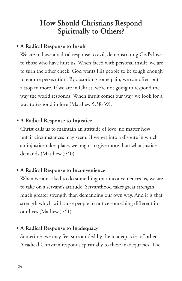#### **How Should Christians Respond Spiritually to Others?**

#### **• A Radical Response to Insult**

We are to have a radical response to evil, demonstrating God's love to those who have hurt us. When faced with personal insult, we are to turn the other cheek. God wants His people to be tough enough to endure persecution. By absorbing some pain, we can often put a stop to more. If we are in Christ, we're not going to respond the way the world responds. When insult comes our way, we look for a way to respond in love (Matthew 5:38-39).

#### **• A Radical Response to Injustice**

Christ calls us to maintain an attitude of love, no matter how unfair circumstances may seem. If we get into a dispute in which an injustice takes place, we ought to give more than what justice demands (Matthew 5:40).

#### **• A Radical Response to Inconvenience**

When we are asked to do something that inconveniences us, we are to take on a servant's attitude. Servanthood takes great strength, much greater strength than demanding our own way. And it is that strength which will cause people to notice something different in our lives (Mathew 5:41).

#### **• A Radical Response to Inadequacy**

Sometimes we may feel surrounded by the inadequacies of others. A radical Christian responds spiritually to these inadequacies. The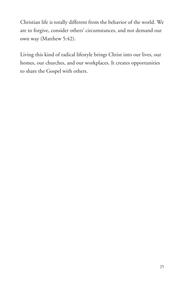Christian life is totally different from the behavior of the world. We are to forgive, consider others' circumstances, and not demand our own way (Matthew 5:42).

Living this kind of radical lifestyle brings Christ into our lives, our homes, our churches, and our workplaces. It creates opportunities to share the Gospel with others.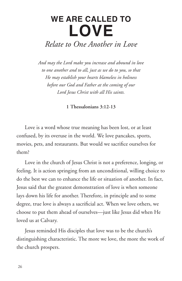## **we are called to Love** *Relate to One Another in Love*

*And may the Lord make you increase and abound in love to one another and to all, just as we do to you, so that He may establish your hearts blameless in holiness before our God and Father at the coming of our Lord Jesus Christ with all His saints.*

**1 Thessalonians 3:12-13**

Love is a word whose true meaning has been lost, or at least confused, by its overuse in the world. We love pancakes, sports, movies, pets, and restaurants. But would we sacrifice ourselves for them?

Love in the church of Jesus Christ is not a preference, longing, or feeling. It is action springing from an unconditional, willing choice to do the best we can to enhance the life or situation of another. In fact, Jesus said that the greatest demonstration of love is when someone lays down his life for another. Therefore, in principle and to some degree, true love is always a sacrificial act. When we love others, we choose to put them ahead of ourselves—just like Jesus did when He loved us at Calvary.

Jesus reminded His disciples that love was to be the church's distinguishing characteristic. The more we love, the more the work of the church prospers.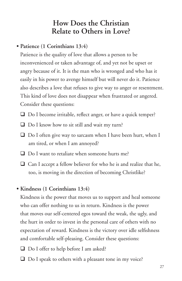#### **How Does the Christian Relate to Others in Love?**

#### **• Patience (1 Corinthians 13:4)**

Patience is the quality of love that allows a person to be inconvenienced or taken advantage of, and yet not be upset or angry because of it. It is the man who is wronged and who has it easily in his power to avenge himself but will never do it. Patience also describes a love that refuses to give way to anger or resentment. This kind of love does not disappear when frustrated or angered. Consider these questions:

- $\Box$  Do I become irritable, reflect anger, or have a quick temper?
- $\Box$  Do I know how to sit still and wait my turn?
- $\Box$  Do I often give way to sarcasm when I have been hurt, when I am tired, or when I am annoyed?
- $\Box$  Do I want to retaliate when someone hurts me?
- $\Box$  Can I accept a fellow believer for who he is and realize that he, too, is moving in the direction of becoming Christlike?

#### **• Kindness (1 Corinthians 13:4)**

Kindness is the power that moves us to support and heal someone who can offer nothing to us in return. Kindness is the power that moves our self-centered egos toward the weak, the ugly, and the hurt in order to invest in the personal care of others with no expectation of reward. Kindness is the victory over idle selfishness and comfortable self-pleasing. Consider these questions:

- $\Box$  Do I offer to help before I am asked?
- $\Box$  Do I speak to others with a pleasant tone in my voice?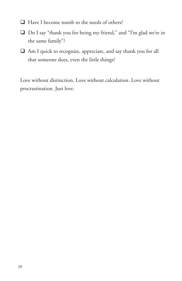- $\Box$  Have I become numb to the needs of others?
- □ Do I say "thank you for being my friend," and "I'm glad we're in the same family"?
- $\Box$  Am I quick to recognize, appreciate, and say thank you for all that someone does, even the little things?

Love without distinction. Love without calculation. Love without procrastination. Just love.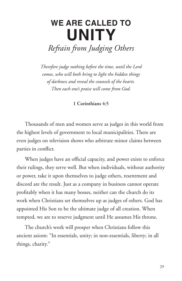## **We Are Called to Unity** *Refrain from Judging Others*

*Therefore judge nothing before the time, until the Lord comes, who will both bring to light the hidden things of darkness and reveal the counsels of the hearts. Then each one's praise will come from God.*

#### **1 Corinthians 4:5**

Thousands of men and women serve as judges in this world from the highest levels of government to local municipalities. There are even judges on television shows who arbitrate minor claims between parties in conflict.

When judges have an official capacity, and power exists to enforce their rulings, they serve well. But when individuals, without authority or power, take it upon themselves to judge others, resentment and discord are the result. Just as a company in business cannot operate profitably when it has many bosses, neither can the church do its work when Christians set themselves up as judges of others. God has appointed His Son to be the ultimate judge of all creation. When tempted, we are to reserve judgment until He assumes His throne.

The church's work will prosper when Christians follow this ancient axiom: "In essentials, unity; in non-essentials, liberty; in all things, charity."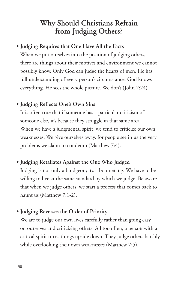#### **Why Should Christians Refrain from Judging Others?**

#### **• Judging Requires that One Have All the Facts**

When we put ourselves into the position of judging others, there are things about their motives and environment we cannot possibly know. Only God can judge the hearts of men. He has full understanding of every person's circumstance. God knows everything. He sees the whole picture. We don't (John 7:24).

#### **• Judging Reflects One's Own Sins**

It is often true that if someone has a particular criticism of someone else, it's because they struggle in that same area. When we have a judgmental spirit, we tend to criticize our own weaknesses. We give ourselves away, for people see in us the very problems we claim to condemn (Matthew 7:4).

#### **• Judging Retaliates Against the One Who Judged**

Judging is not only a bludgeon; it's a boomerang. We have to be willing to live at the same standard by which we judge. Be aware that when we judge others, we start a process that comes back to haunt us (Matthew 7:1-2).

#### **• Judging Reverses the Order of Priority**

We are to judge our own lives carefully rather than going easy on ourselves and criticizing others. All too often, a person with a critical spirit turns things upside down. They judge others harshly while overlooking their own weaknesses (Matthew 7:5).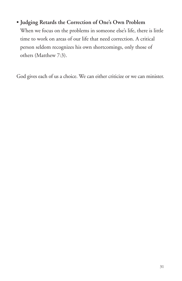#### **• Judging Retards the Correction of One's Own Problem**

When we focus on the problems in someone else's life, there is little time to work on areas of our life that need correction. A critical person seldom recognizes his own shortcomings, only those of others (Matthew 7:3).

God gives each of us a choice. We can either criticize or we can minister.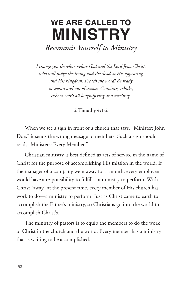## **We Are Called to Ministry** *Recommit Yourself to Ministry*

*I charge you therefore before God and the Lord Jesus Christ, who will judge the living and the dead at His appearing and His kingdom: Preach the word! Be ready in season and out of season. Convince, rebuke, exhort, with all longsuffering and teaching.*

**2 Timothy 4:1-2**

When we see a sign in front of a church that says, "Minister: John Doe," it sends the wrong message to members. Such a sign should read, "Ministers: Every Member."

Christian ministry is best defined as acts of service in the name of Christ for the purpose of accomplishing His mission in the world. If the manager of a company went away for a month, every employee would have a responsibility to fulfill—a ministry to perform. With Christ "away" at the present time, every member of His church has work to do—a ministry to perform. Just as Christ came to earth to accomplish the Father's ministry, so Christians go into the world to accomplish Christ's.

The ministry of pastors is to equip the members to do the work of Christ in the church and the world. Every member has a ministry that is waiting to be accomplished.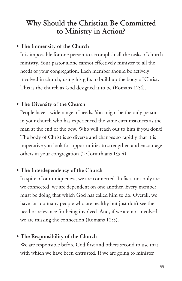#### **Why Should the Christian Be Committed to Ministry in Action?**

#### **• The Immensity of the Church**

It is impossible for one person to accomplish all the tasks of church ministry. Your pastor alone cannot effectively minister to all the needs of your congregation. Each member should be actively involved in church, using his gifts to build up the body of Christ. This is the church as God designed it to be (Romans 12:4).

#### **• The Diversity of the Church**

People have a wide range of needs. You might be the only person in your church who has experienced the same circumstances as the man at the end of the pew. Who will reach out to him if you don't? The body of Christ is so diverse and changes so rapidly that it is imperative you look for opportunities to strengthen and encourage others in your congregation (2 Corinthians 1:3-4).

#### **• The Interdependency of the Church**

In spite of our uniqueness, we are connected. In fact, not only are we connected, we are dependent on one another. Every member must be doing that which God has called him to do. Overall, we have far too many people who are healthy but just don't see the need or relevance for being involved. And, if we are not involved, we are missing the connection (Romans 12:5).

#### **• The Responsibility of the Church**

We are responsible before God first and others second to use that with which we have been entrusted. If we are going to minister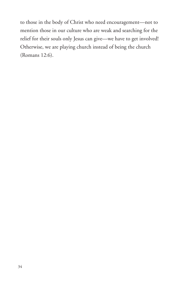to those in the body of Christ who need encouragement—not to mention those in our culture who are weak and searching for the relief for their souls only Jesus can give—we have to get involved! Otherwise, we are playing church instead of being the church (Romans 12:6).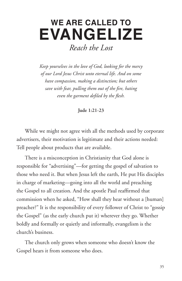## **We Are Called to Evangelize** *Reach the Lost*

*Keep yourselves in the love of God, looking for the mercy of our Lord Jesus Christ unto eternal life. And on some have compassion, making a distinction; but others save with fear, pulling them out of the fire, hating even the garment defiled by the flesh.*

**Jude 1:21-23**

While we might not agree with all the methods used by corporate advertisers, their motivation is legitimate and their actions needed: Tell people about products that are available.

There is a misconception in Christianity that God alone is responsible for "advertising"—for getting the gospel of salvation to those who need it. But when Jesus left the earth, He put His disciples in charge of marketing—going into all the world and preaching the Gospel to all creation. And the apostle Paul reaffirmed that commission when he asked, "How shall they hear without a [human] preacher?" It is the responsibility of every follower of Christ to "gossip the Gospel" (as the early church put it) wherever they go. Whether boldly and formally or quietly and informally, evangelism is the church's business.

The church only grows when someone who doesn't know the Gospel hears it from someone who does.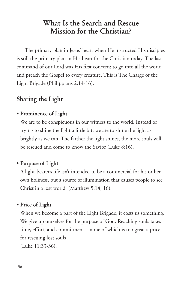#### **What Is the Search and Rescue Mission for the Christian?**

The primary plan in Jesus' heart when He instructed His disciples is still the primary plan in His heart for the Christian today. The last command of our Lord was His first concern: to go into all the world and preach the Gospel to every creature. This is The Charge of the Light Brigade (Philippians 2:14-16).

#### **Sharing the Light**

#### **• Prominence of Light**

We are to be conspicuous in our witness to the world. Instead of trying to shine the light a little bit, we are to shine the light as brightly as we can. The farther the light shines, the more souls will be rescued and come to know the Savior (Luke 8:16).

#### **• Purpose of Light**

A light-bearer's life isn't intended to be a commercial for his or her own holiness, but a source of illumination that causes people to see Christ in a lost world (Matthew 5:14, 16).

#### **• Price of Light**

When we become a part of the Light Brigade, it costs us something. We give up ourselves for the purpose of God. Reaching souls takes time, effort, and commitment—none of which is too great a price for rescuing lost souls (Luke 11:33-36).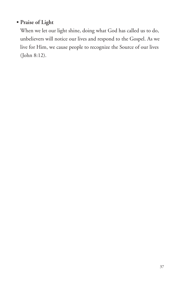#### **• Praise of Light**

When we let our light shine, doing what God has called us to do, unbelievers will notice our lives and respond to the Gospel. As we live for Him, we cause people to recognize the Source of our lives (John 8:12).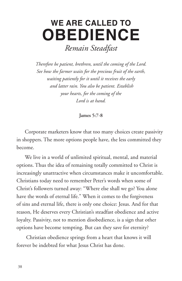## **We Are Called to Obedience** *Remain Steadfast*

*Therefore be patient, brethren, until the coming of the Lord. See how the farmer waits for the precious fruit of the earth, waiting patiently for it until it receives the early and latter rain. You also be patient. Establish your hearts, for the coming of the Lord is at hand.*

**James 5:7-8**

Corporate marketers know that too many choices create passivity in shoppers. The more options people have, the less committed they become.

We live in a world of unlimited spiritual, mental, and material options. Thus the idea of remaining totally committed to Christ is increasingly unattractive when circumstances make it uncomfortable. Christians today need to remember Peter's words when some of Christ's followers turned away: "Where else shall we go? You alone have the words of eternal life." When it comes to the forgiveness of sins and eternal life, there is only one choice: Jesus. And for that reason, He deserves every Christian's steadfast obedience and active loyalty. Passivity, not to mention disobedience, is a sign that other options have become tempting. But can they save for eternity?

 Christian obedience springs from a heart that knows it will forever be indebted for what Jesus Christ has done.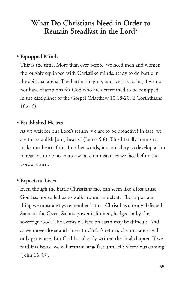#### **What Do Christians Need in Order to Remain Steadfast in the Lord?**

#### **• Equipped Minds**

This is the time. More than ever before, we need men and women thoroughly equipped with Christlike minds, ready to do battle in the spiritual arena. The battle is raging, and we risk losing if we do not have champions for God who are determined to be equipped in the disciplines of the Gospel (Matthew 10:18-20; 2 Corinthians 10:4-6).

#### **• Established Hearts**

As we wait for our Lord's return, we are to be proactive! In fact, we are to "establish [our] hearts" (James 5:8). This literally means to make our hearts firm. In other words, it is our duty to develop a "no retreat" attitude no matter what circumstances we face before the Lord's return.

#### **• Expectant Lives**

Even though the battle Christians face can seem like a lost cause, God has not called us to walk around in defeat. The important thing we must always remember is this: Christ has already defeated Satan at the Cross. Satan's power is limited, hedged in by the sovereign God. The events we face on earth may be difficult. And as we move closer and closer to Christ's return, circumstances will only get worse. But God has already written the final chapter! If we read His Book, we will remain steadfast until His victorious coming (John 16:33).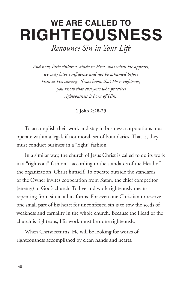## **We Are Called to Righteousness** *Renounce Sin in Your Life*

*And now, little children, abide in Him, that when He appears, we may have confidence and not be ashamed before Him at His coming. If you know that He is righteous, you know that everyone who practices righteousness is born of Him.*

**1 John 2:28-29**

To accomplish their work and stay in business, corporations must operate within a legal, if not moral, set of boundaries. That is, they must conduct business in a "right" fashion.

In a similar way, the church of Jesus Christ is called to do its work in a "righteous" fashion—according to the standards of the Head of the organization, Christ himself. To operate outside the standards of the Owner invites cooperation from Satan, the chief competitor (enemy) of God's church. To live and work righteously means repenting from sin in all its forms. For even one Christian to reserve one small part of his heart for unconfessed sin is to sow the seeds of weakness and carnality in the whole church. Because the Head of the church is righteous, His work must be done righteously.

When Christ returns, He will be looking for works of righteousness accomplished by clean hands and hearts.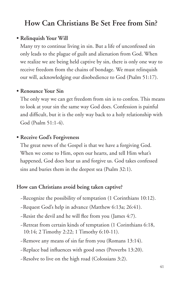#### **How Can Christians Be Set Free from Sin?**

#### **• Relinquish Your Will**

Many try to continue living in sin. But a life of unconfessed sin only leads to the plague of guilt and alienation from God. When we realize we are being held captive by sin, there is only one way to receive freedom from the chains of bondage. We must relinquish our will, acknowledging our disobedience to God (Psalm 51:17).

#### **• Renounce Your Sin**

The only way we can get freedom from sin is to confess. This means to look at your sin the same way God does. Confession is painful and difficult, but it is the only way back to a holy relationship with God (Psalm 51:1-4).

#### **• Receive God's Forgiveness**

The great news of the Gospel is that we have a forgiving God. When we come to Him, open our hearts, and tell Him what's happened, God does hear us and forgive us. God takes confessed sins and buries them in the deepest sea (Psalm 32:1).

#### **How can Christians avoid being taken captive?**

- ~Recognize the possibility of temptation (1 Corinthians 10:12).
- ~Request God's help in advance (Matthew 6:13a; 26:41).
- ~Resist the devil and he will flee from you (James 4:7).
- ~Retreat from certain kinds of temptation (1 Corinthians 6:18, 10:14; 2 Timothy 2:22; 1 Timothy 6:10-11).
- ~Remove any means of sin far from you (Romans 13:14).
- ~Replace bad influences with good ones (Proverbs 13:20).
- ~Resolve to live on the high road (Colossians 3:2).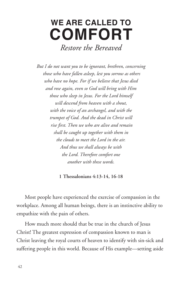## **We Are Called to Comfort** *Restore the Bereaved*

*But I do not want you to be ignorant, brethren, concerning those who have fallen asleep, lest you sorrow as others who have no hope. For if we believe that Jesus died and rose again, even so God will bring with Him those who sleep in Jesus. For the Lord himself will descend from heaven with a shout, with the voice of an archangel, and with the trumpet of God. And the dead in Christ will rise first. Then we who are alive and remain shall be caught up together with them in the clouds to meet the Lord in the air. And thus we shall always be with the Lord. Therefore comfort one another with these words.*

#### **1 Thessalonians 4:13-14, 16-18**

Most people have experienced the exercise of compassion in the workplace. Among all human beings, there is an instinctive ability to empathize with the pain of others.

How much more should that be true in the church of Jesus Christ! The greatest expression of compassion known to man is Christ leaving the royal courts of heaven to identify with sin-sick and suffering people in this world. Because of His example—setting aside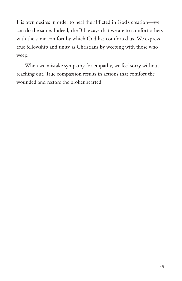His own desires in order to heal the afflicted in God's creation—we can do the same. Indeed, the Bible says that we are to comfort others with the same comfort by which God has comforted us. We express true fellowship and unity as Christians by weeping with those who weep.

When we mistake sympathy for empathy, we feel sorry without reaching out. True compassion results in actions that comfort the wounded and restore the brokenhearted.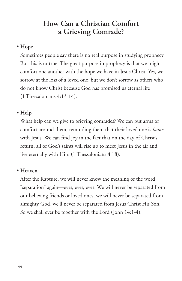#### **How Can a Christian Comfort a Grieving Comrade?**

#### **• Hope**

Sometimes people say there is no real purpose in studying prophecy. But this is untrue. The great purpose in prophecy is that we might comfort one another with the hope we have in Jesus Christ. Yes, we sorrow at the loss of a loved one, but we don't sorrow as others who do not know Christ because God has promised us eternal life (1 Thessalonians 4:13-14).

#### **• Help**

What help can we give to grieving comrades? We can put arms of comfort around them, reminding them that their loved one is *home*  with Jesus. We can find joy in the fact that on the day of Christ's return, all of God's saints will rise up to meet Jesus in the air and live eternally with Him (1 Thessalonians 4:18).

#### **• Heaven**

After the Rapture, we will never know the meaning of the word "separation" again—ever, ever, ever! We will never be separated from our believing friends or loved ones, we will never be separated from almighty God, we'll never be separated from Jesus Christ His Son. So we shall ever be together with the Lord (John 14:1-4).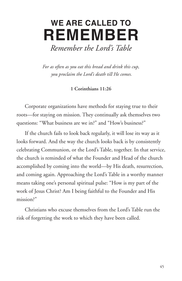## **We Are Called to Remember** *Remember the Lord's Table*

*For as often as you eat this bread and drink this cup, you proclaim the Lord's death till He comes.*

#### **1 Corinthians 11:26**

Corporate organizations have methods for staying true to their roots—for staying on mission. They continually ask themselves two questions: "What business are we in?" and "How's business?"

If the church fails to look back regularly, it will lose its way as it looks forward. And the way the church looks back is by consistently celebrating Communion, or the Lord's Table, together. In that service, the church is reminded of what the Founder and Head of the church accomplished by coming into the world—by His death, resurrection, and coming again. Approaching the Lord's Table in a worthy manner means taking one's personal spiritual pulse: "How is my part of the work of Jesus Christ? Am I being faithful to the Founder and His mission?"

Christians who excuse themselves from the Lord's Table run the risk of forgetting the work to which they have been called.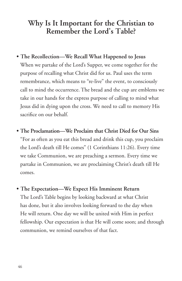#### **Why Is It Important for the Christian to Remember the Lord's Table?**

- **The Recollection—We Recall What Happened to Jesus**  When we partake of the Lord's Supper, we come together for the purpose of recalling what Christ did for us. Paul uses the term remembrance, which means to "re-live" the event, to consciously call to mind the occurrence. The bread and the cup are emblems we take in our hands for the express purpose of calling to mind what Jesus did in dying upon the cross. We need to call to memory His sacrifice on our behalf.
- **• The Proclamation—We Proclaim that Christ Died for Our Sins**  "For as often as you eat this bread and drink this cup, you proclaim the Lord's death till He comes" (1 Corinthians 11:26). Every time we take Communion, we are preaching a sermon. Every time we partake in Communion, we are proclaiming Christ's death till He comes.

#### **• The Expectation—We Expect His Imminent Return**

The Lord's Table begins by looking backward at what Christ has done, but it also involves looking forward to the day when He will return. One day we will be united with Him in perfect fellowship. Our expectation is that He will come soon; and through communion, we remind ourselves of that fact.